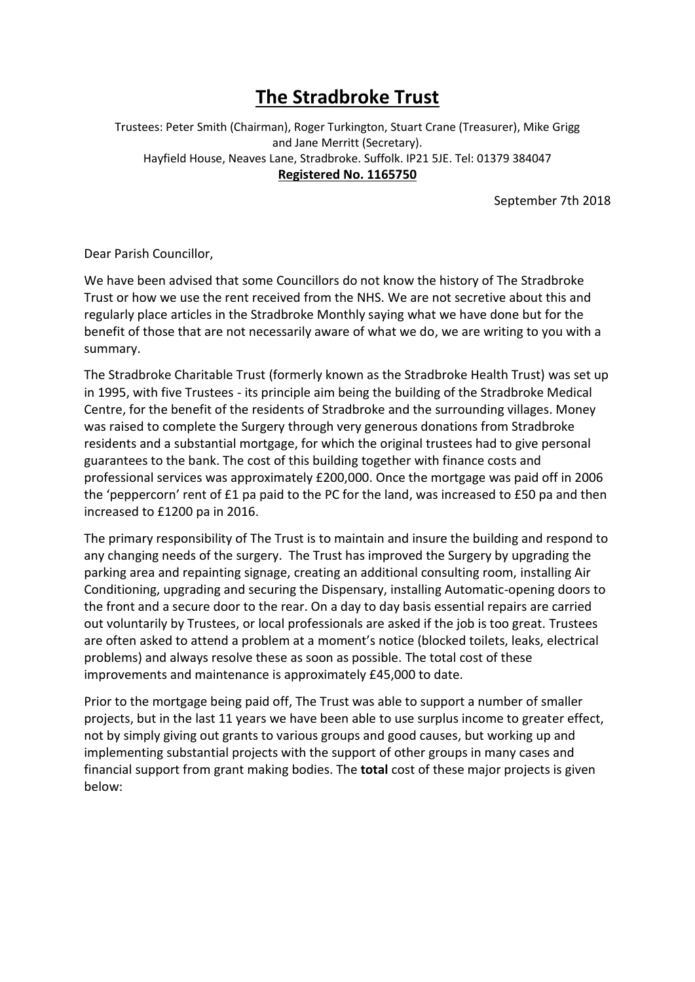## **The Stradbroke Trust**

Trustees: Peter Smith (Chairman), Roger Turkington, Stuart Crane (Treasurer), Mike Grigg and Jane Merritt (Secretary). Hayfield House, Neaves Lane, Stradbroke. Suffolk. IP21 5JE. Tel: 01379 384047 **Registered No. 1165750**

September 7th 2018

Dear Parish Councillor,

We have been advised that some Councillors do not know the history of The Stradbroke Trust or how we use the rent received from the NHS. We are not secretive about this and regularly place articles in the Stradbroke Monthly saying what we have done but for the benefit of those that are not necessarily aware of what we do, we are writing to you with a summary.

The Stradbroke Charitable Trust (formerly known as the Stradbroke Health Trust) was set up in 1995, with five Trustees - its principle aim being the building of the Stradbroke Medical Centre, for the benefit of the residents of Stradbroke and the surrounding villages. Money was raised to complete the Surgery through very generous donations from Stradbroke residents and a substantial mortgage, for which the original trustees had to give personal guarantees to the bank. The cost of this building together with finance costs and professional services was approximately £200,000. Once the mortgage was paid off in 2006 the 'peppercorn' rent of £1 pa paid to the PC for the land, was increased to £50 pa and then increased to £1200 pa in 2016.

The primary responsibility of The Trust is to maintain and insure the building and respond to any changing needs of the surgery. The Trust has improved the Surgery by upgrading the parking area and repainting signage, creating an additional consulting room, installing Air Conditioning, upgrading and securing the Dispensary, installing Automatic-opening doors to the front and a secure door to the rear. On a day to day basis essential repairs are carried out voluntarily by Trustees, or local professionals are asked if the job is too great. Trustees are often asked to attend a problem at a moment's notice (blocked toilets, leaks, electrical problems) and always resolve these as soon as possible. The total cost of these improvements and maintenance is approximately £45,000 to date.

Prior to the mortgage being paid off, The Trust was able to support a number of smaller projects, but in the last 11 years we have been able to use surplus income to greater effect, not by simply giving out grants to various groups and good causes, but working up and implementing substantial projects with the support of other groups in many cases and financial support from grant making bodies. The **total** cost of these major projects is given below: